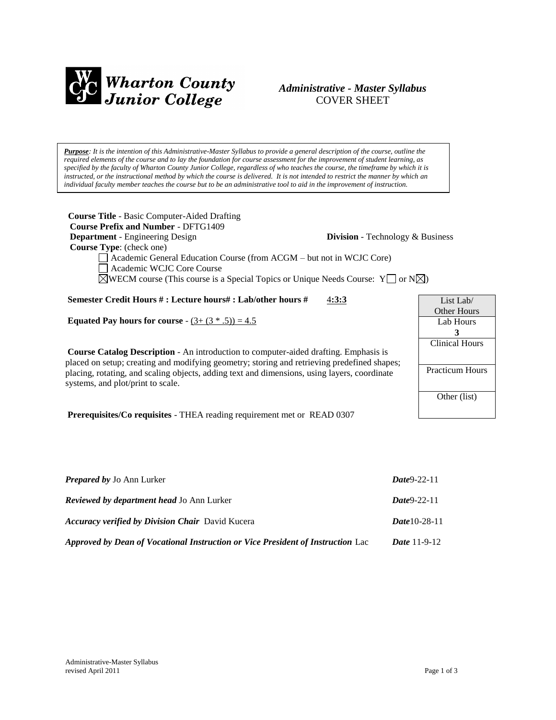

# *Administrative - Master Syllabus*  COVER SHEET

*Purpose: It is the intention of this Administrative-Master Syllabus to provide a general description of the course, outline the required elements of the course and to lay the foundation for course assessment for the improvement of student learning, as specified by the faculty of Wharton County Junior College, regardless of who teaches the course, the timeframe by which it is*  instructed, or the instructional method by which the course is delivered. It is not intended to restrict the manner by which an *individual faculty member teaches the course but to be an administrative tool to aid in the improvement of instruction.*

| <b>Course Title - Basic Computer-Aided Drafting</b>                                                          |       |                        |  |
|--------------------------------------------------------------------------------------------------------------|-------|------------------------|--|
| <b>Course Prefix and Number - DFTG1409</b>                                                                   |       |                        |  |
| <b>Department</b> - Engineering Design<br><b>Division</b> - Technology & Business                            |       |                        |  |
| <b>Course Type:</b> (check one)                                                                              |       |                        |  |
| Academic General Education Course (from ACGM – but not in WCJC Core)                                         |       |                        |  |
| Academic WCJC Core Course                                                                                    |       |                        |  |
| $\boxtimes$ WECM course (This course is a Special Topics or Unique Needs Course: Y $\Box$ or N $\boxtimes$ ) |       |                        |  |
|                                                                                                              |       |                        |  |
| Semester Credit Hours #: Lecture hours#: Lab/other hours #                                                   | 4:3:3 | List Lab/              |  |
|                                                                                                              |       | Other Hours            |  |
| <b>Equated Pay hours for course</b> - $(3 + (3 * .5)) = 4.5$                                                 |       | Lab Hours              |  |
|                                                                                                              |       | 3                      |  |
|                                                                                                              |       | <b>Clinical Hours</b>  |  |
| <b>Course Catalog Description</b> - An introduction to computer-aided drafting. Emphasis is                  |       |                        |  |
| placed on setup; creating and modifying geometry; storing and retrieving predefined shapes;                  |       | <b>Practicum Hours</b> |  |
| placing, rotating, and scaling objects, adding text and dimensions, using layers, coordinate                 |       |                        |  |
| systems, and plot/print to scale.                                                                            |       |                        |  |
|                                                                                                              |       | Other (list)           |  |
| <b>Prerequisites/Co requisites - THEA reading requirement met or READ 0307</b>                               |       |                        |  |
|                                                                                                              |       |                        |  |

| <b>Prepared by Jo Ann Lurker</b>                                                | $Date9-22-11$         |
|---------------------------------------------------------------------------------|-----------------------|
| <b>Reviewed by department head Jo Ann Lurker</b>                                | $Date9-22-11$         |
| <b>Accuracy verified by Division Chair</b> David Kucera                         | <i>Date</i> 10-28-11  |
| Approved by Dean of Vocational Instruction or Vice President of Instruction Lac | <i>Date</i> $11-9-12$ |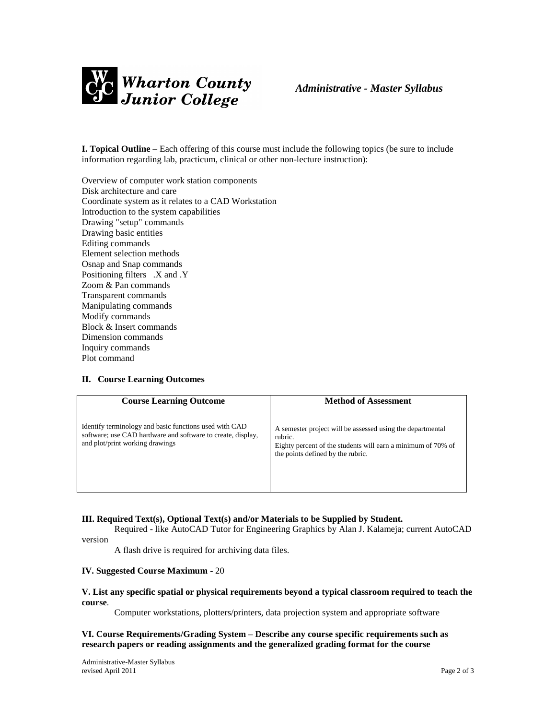

**I. Topical Outline** – Each offering of this course must include the following topics (be sure to include information regarding lab, practicum, clinical or other non-lecture instruction):

Overview of computer work station components Disk architecture and care Coordinate system as it relates to a CAD Workstation Introduction to the system capabilities Drawing "setup" commands Drawing basic entities Editing commands Element selection methods Osnap and Snap commands Positioning filters .X and .Y Zoom & Pan commands Transparent commands Manipulating commands Modify commands Block & Insert commands Dimension commands Inquiry commands Plot command

### **II. Course Learning Outcomes**

| <b>Course Learning Outcome</b>                                                                                                                           | <b>Method of Assessment</b>                                                                                                                                                |
|----------------------------------------------------------------------------------------------------------------------------------------------------------|----------------------------------------------------------------------------------------------------------------------------------------------------------------------------|
| Identify terminology and basic functions used with CAD<br>software; use CAD hardware and software to create, display,<br>and plot/print working drawings | A semester project will be assessed using the departmental<br>rubric.<br>Eighty percent of the students will earn a minimum of 70% of<br>the points defined by the rubric. |

## **III. Required Text(s), Optional Text(s) and/or Materials to be Supplied by Student.**

Required - like AutoCAD Tutor for Engineering Graphics by Alan J. Kalameja; current AutoCAD version

A flash drive is required for archiving data files.

#### **IV. Suggested Course Maximum** - 20

#### **V. List any specific spatial or physical requirements beyond a typical classroom required to teach the course**.

Computer workstations, plotters/printers, data projection system and appropriate software

## **VI. Course Requirements/Grading System – Describe any course specific requirements such as research papers or reading assignments and the generalized grading format for the course**